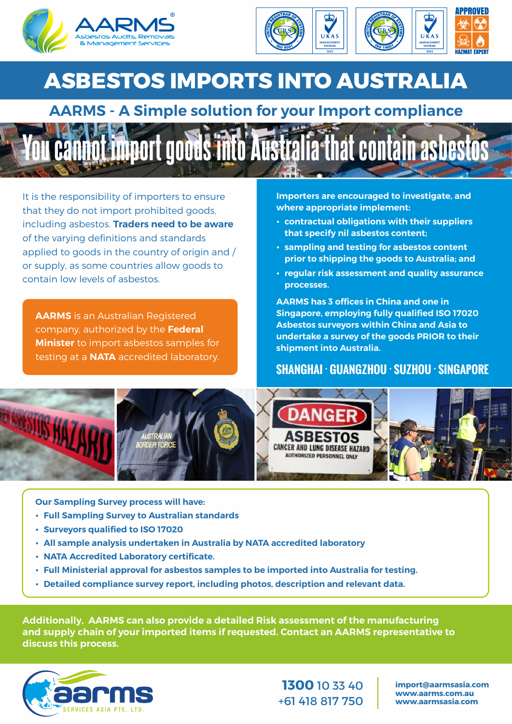



## **ASBESTOS IMPORTS INTO AUSTRALIA**

## **AARMS - A Simple solution for your Import compliance**



It is the responsibility of importers to ensure that they do not import prohibited goods, including asbestos. **Traders need to be aware** of the varying definitions and standards applied to goods in the country of origin and / or supply, as some countries allow goods to contain low levels of asbestos.

**AARMS** is an Australian Registered company, authorized by the **Federal Minister** to import asbestos samples for testing at a **NATA** accredited laboratory.

**Importers are encouraged to investigate, and where appropriate implement:**

- **contractual obligations with their suppliers that specify nil asbestos content;**
- $\cdot$  **sampling and testing for asbestos content prior to shipping the goods to Australia; and**
- **Example 7 right risk assessment and quality assurance processes.**

**AARMS has 3 offices in China and one in Singapore, employing fully qualified ISO 17020 Asbestos surveyors within China and Asia to undertake a survey of the goods PRIOR to their shipment into Australia.**

## SHANGHAI ∙GUANGZHOU ∙SUZHOU ∙SINGAPORE



**Our Sampling Survey process will have:**

- **Full Sampling Survey to Australian standards**
- **Surveyors qualified to ISO 17020**
- **All sample analysis undertaken in Australia by NATA accredited laboratory**
- **NATA Accredited Laboratory certificate.**
- **Eull Ministerial approval for asbestos samples to be imported into Australia for testing.**
- **Detailed compliance survey report, including photos, description and relevant data.**

**Additionally, AARMS can also provide a detailed Risk assessment of the manufacturing and supply chain of your imported items if requested. Contact an AARMS representative to discuss this process.**



**1300** 10 33 40 +61 418 817 750

**import@aarmsasia.com www.aarms.com.au www.aarmsasia.com**